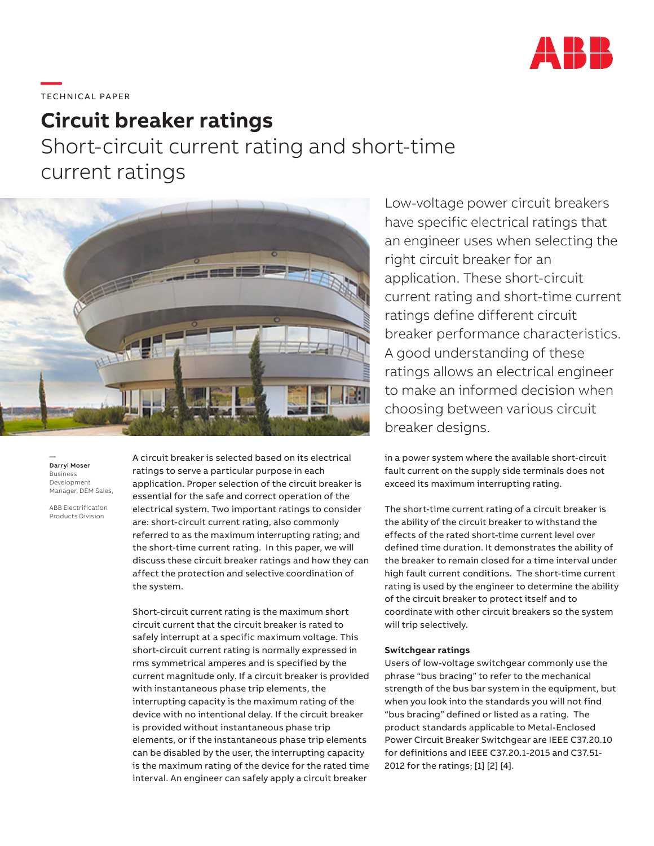

# **—**  TECHNICAL PAPER

# **Circuit breaker ratings**

Short-circuit current rating and short-time current ratings



— Darryl Moser Business Development Manager, DEM Sales,

ABB Electrification Products Division

A circuit breaker is selected based on its electrical ratings to serve a particular purpose in each application. Proper selection of the circuit breaker is essential for the safe and correct operation of the electrical system. Two important ratings to consider are: short-circuit current rating, also commonly referred to as the maximum interrupting rating; and the short-time current rating. In this paper, we will discuss these circuit breaker ratings and how they can affect the protection and selective coordination of the system.

Short-circuit current rating is the maximum short circuit current that the circuit breaker is rated to safely interrupt at a specific maximum voltage. This short-circuit current rating is normally expressed in rms symmetrical amperes and is specified by the current magnitude only. If a circuit breaker is provided with instantaneous phase trip elements, the interrupting capacity is the maximum rating of the device with no intentional delay. If the circuit breaker is provided without instantaneous phase trip elements, or if the instantaneous phase trip elements can be disabled by the user, the interrupting capacity is the maximum rating of the device for the rated time interval. An engineer can safely apply a circuit breaker

Low-voltage power circuit breakers have specific electrical ratings that an engineer uses when selecting the right circuit breaker for an application. These short-circuit current rating and short-time current ratings define different circuit breaker performance characteristics. A good understanding of these ratings allows an electrical engineer to make an informed decision when choosing between various circuit breaker designs.

in a power system where the available short-circuit fault current on the supply side terminals does not exceed its maximum interrupting rating.

The short-time current rating of a circuit breaker is the ability of the circuit breaker to withstand the effects of the rated short-time current level over defined time duration. It demonstrates the ability of the breaker to remain closed for a time interval under high fault current conditions. The short-time current rating is used by the engineer to determine the ability of the circuit breaker to protect itself and to coordinate with other circuit breakers so the system will trip selectively.

### **Switchgear ratings**

Users of low-voltage switchgear commonly use the phrase "bus bracing" to refer to the mechanical strength of the bus bar system in the equipment, but when you look into the standards you will not find "bus bracing" defined or listed as a rating. The product standards applicable to Metal-Enclosed Power Circuit Breaker Switchgear are IEEE C37.20.10 for definitions and IEEE C37.20.1-2015 and C37.51- 2012 for the ratings; [1] [2] [4].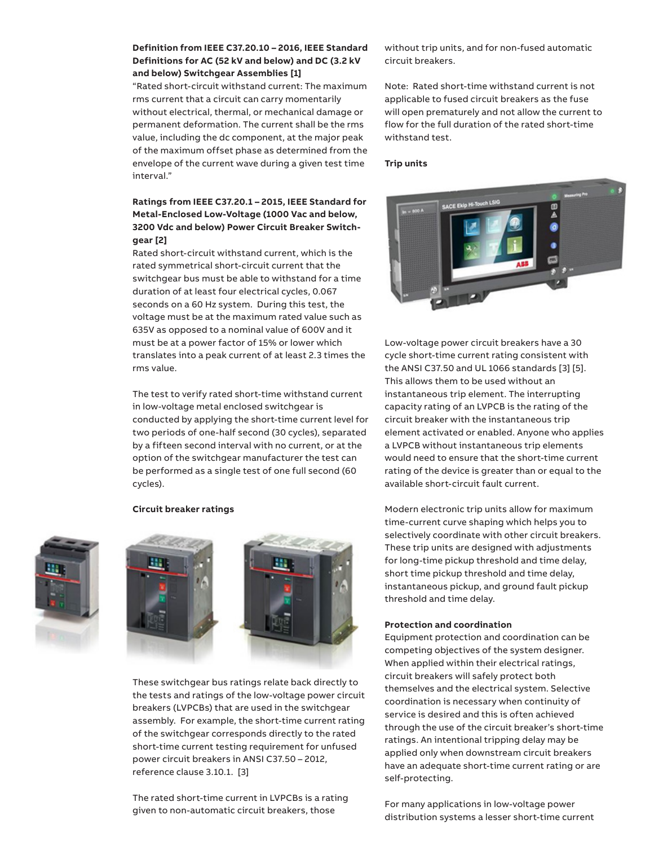## **Definition from IEEE C37.20.10 – 2016, IEEE Standard Definitions for AC (52 kV and below) and DC (3.2 kV and below) Switchgear Assemblies [1]**

"Rated short-circuit withstand current: The maximum rms current that a circuit can carry momentarily without electrical, thermal, or mechanical damage or permanent deformation. The current shall be the rms value, including the dc component, at the major peak of the maximum offset phase as determined from the envelope of the current wave during a given test time interval."

# **Ratings from IEEE C37.20.1 – 2015, IEEE Standard for Metal-Enclosed Low-Voltage (1000 Vac and below, 3200 Vdc and below) Power Circuit Breaker Switchgear [2]**

Rated short-circuit withstand current, which is the rated symmetrical short-circuit current that the switchgear bus must be able to withstand for a time duration of at least four electrical cycles, 0.067 seconds on a 60 Hz system. During this test, the voltage must be at the maximum rated value such as 635V as opposed to a nominal value of 600V and it must be at a power factor of 15% or lower which translates into a peak current of at least 2.3 times the rms value.

The test to verify rated short-time withstand current in low-voltage metal enclosed switchgear is conducted by applying the short-time current level for two periods of one-half second (30 cycles), separated by a fifteen second interval with no current, or at the option of the switchgear manufacturer the test can be performed as a single test of one full second (60 cycles).

#### **Circuit breaker ratings**







These switchgear bus ratings relate back directly to the tests and ratings of the low-voltage power circuit breakers (LVPCBs) that are used in the switchgear assembly. For example, the short-time current rating of the switchgear corresponds directly to the rated short-time current testing requirement for unfused power circuit breakers in ANSI C37.50 – 2012, reference clause 3.10.1. [3]

The rated short-time current in LVPCBs is a rating given to non-automatic circuit breakers, those

without trip units, and for non-fused automatic circuit breakers.

Note: Rated short-time withstand current is not applicable to fused circuit breakers as the fuse will open prematurely and not allow the current to flow for the full duration of the rated short-time withstand test.

#### **Trip units**



Low-voltage power circuit breakers have a 30 cycle short-time current rating consistent with the ANSI C37.50 and UL 1066 standards [3] [5]. This allows them to be used without an instantaneous trip element. The interrupting capacity rating of an LVPCB is the rating of the circuit breaker with the instantaneous trip element activated or enabled. Anyone who applies a LVPCB without instantaneous trip elements would need to ensure that the short-time current rating of the device is greater than or equal to the available short-circuit fault current.

Modern electronic trip units allow for maximum time-current curve shaping which helps you to selectively coordinate with other circuit breakers. These trip units are designed with adjustments for long-time pickup threshold and time delay, short time pickup threshold and time delay, instantaneous pickup, and ground fault pickup threshold and time delay.

#### **Protection and coordination**

Equipment protection and coordination can be competing objectives of the system designer. When applied within their electrical ratings, circuit breakers will safely protect both themselves and the electrical system. Selective coordination is necessary when continuity of service is desired and this is often achieved through the use of the circuit breaker's short-time ratings. An intentional tripping delay may be applied only when downstream circuit breakers have an adequate short-time current rating or are self-protecting.

For many applications in low-voltage power distribution systems a lesser short-time current